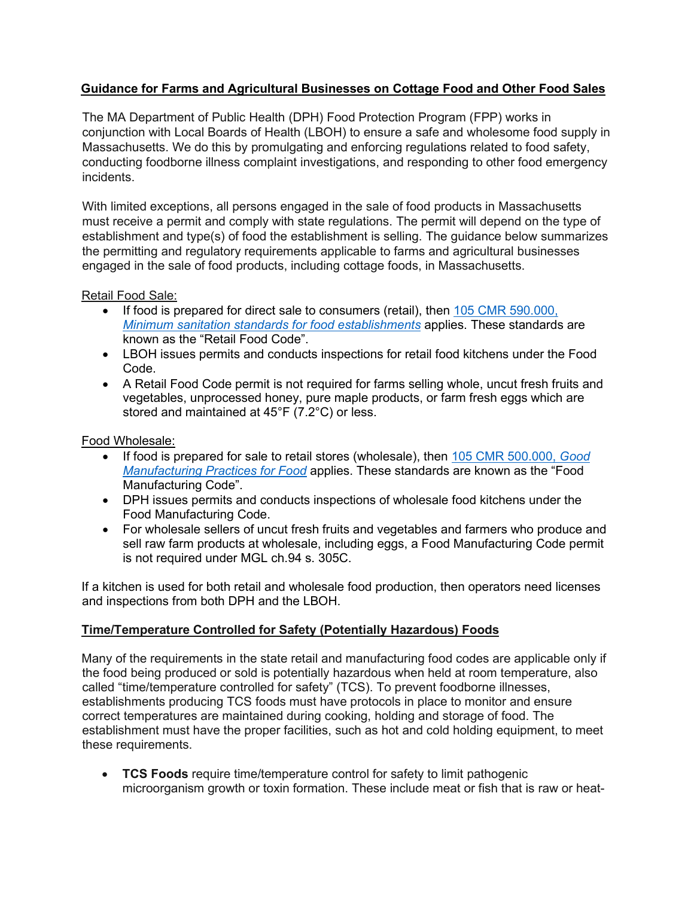# **Guidance for Farms and Agricultural Businesses on Cottage Food and Other Food Sales**

The MA Department of Public Health (DPH) Food Protection Program (FPP) works in conjunction with Local Boards of Health (LBOH) to ensure a safe and wholesome food supply in Massachusetts. We do this by promulgating and enforcing regulations related to food safety, conducting foodborne illness complaint investigations, and responding to other food emergency incidents.

With limited exceptions, all persons engaged in the sale of food products in Massachusetts must receive a permit and comply with state regulations. The permit will depend on the type of establishment and type(s) of food the establishment is selling. The guidance below summarizes the permitting and regulatory requirements applicable to farms and agricultural businesses engaged in the sale of food products, including cottage foods, in Massachusetts.

Retail Food Sale:

- If food is prepared for direct sale to consumers (retail), then [105 CMR 590.000,](https://www.mass.gov/regulations/105-CMR-59000-state-sanitary-code-chapter-x-minimum-sanitation-standards-for-food) *[Minimum sanitation standards for food establishments](https://www.mass.gov/regulations/105-CMR-59000-state-sanitary-code-chapter-x-minimum-sanitation-standards-for-food)* applies. These standards are known as the "Retail Food Code".
- LBOH issues permits and conducts inspections for retail food kitchens under the Food Code.
- A Retail Food Code permit is not required for farms selling whole, uncut fresh fruits and vegetables, unprocessed honey, pure maple products, or farm fresh eggs which are stored and maintained at 45°F (7.2°C) or less.

## Food Wholesale:

- If food is prepared for sale to retail stores (wholesale), then [105 CMR 500.000,](https://www.mass.gov/regulations/105-CMR-50000-good-manufacturing-practices-for-food) *Good [Manufacturing Practices for Food](https://www.mass.gov/regulations/105-CMR-50000-good-manufacturing-practices-for-food)* applies. These standards are known as the "Food Manufacturing Code".
- DPH issues permits and conducts inspections of wholesale food kitchens under the Food Manufacturing Code.
- For wholesale sellers of uncut fresh fruits and vegetables and farmers who produce and sell raw farm products at wholesale, including eggs, a Food Manufacturing Code permit is not required under MGL ch.94 s. 305C.

If a kitchen is used for both retail and wholesale food production, then operators need licenses and inspections from both DPH and the LBOH.

# **Time/Temperature Controlled for Safety (Potentially Hazardous) Foods**

Many of the requirements in the state retail and manufacturing food codes are applicable only if the food being produced or sold is potentially hazardous when held at room temperature, also called "time/temperature controlled for safety" (TCS). To prevent foodborne illnesses, establishments producing TCS foods must have protocols in place to monitor and ensure correct temperatures are maintained during cooking, holding and storage of food. The establishment must have the proper facilities, such as hot and cold holding equipment, to meet these requirements.

• **TCS Foods** require time/temperature control for safety to limit pathogenic microorganism growth or toxin formation. These include meat or fish that is raw or heat-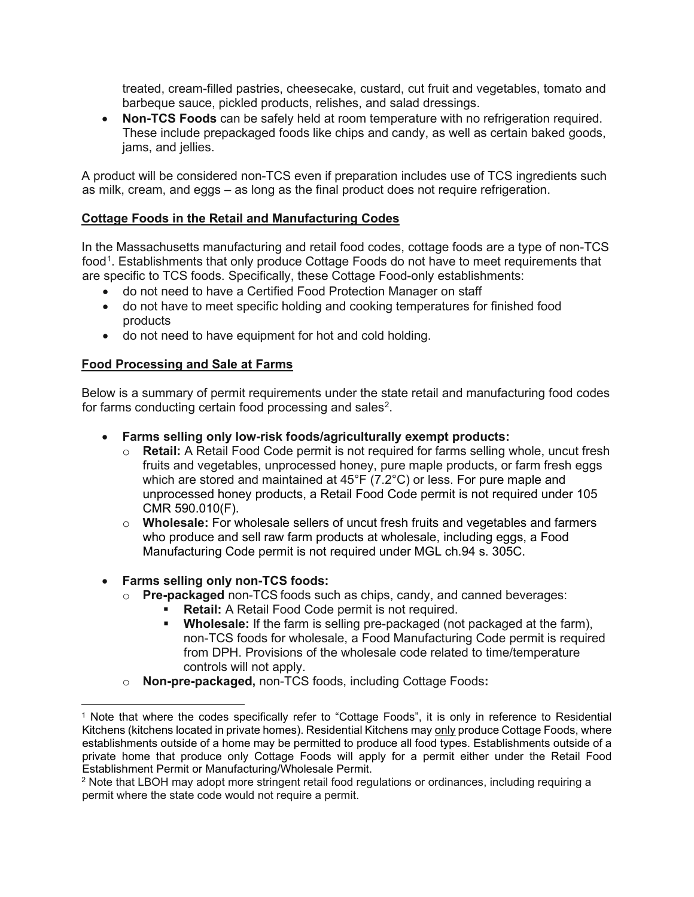treated, cream-filled pastries, cheesecake, custard, cut fruit and vegetables, tomato and barbeque sauce, pickled products, relishes, and salad dressings.

• **Non-TCS Foods** can be safely held at room temperature with no refrigeration required. These include prepackaged foods like chips and candy, as well as certain baked goods, jams, and jellies.

A product will be considered non-TCS even if preparation includes use of TCS ingredients such as milk, cream, and eggs – as long as the final product does not require refrigeration.

### **Cottage Foods in the Retail and Manufacturing Codes**

In the Massachusetts manufacturing and retail food codes, cottage foods are a type of non-TCS food<sup>[1](#page-1-0)</sup>. Establishments that only produce Cottage Foods do not have to meet requirements that are specific to TCS foods. Specifically, these Cottage Food-only establishments:

- do not need to have a Certified Food Protection Manager on staff
- do not have to meet specific holding and cooking temperatures for finished food products
- do not need to have equipment for hot and cold holding.

## **Food Processing and Sale at Farms**

Below is a summary of permit requirements under the state retail and manufacturing food codes for farms conducting certain food processing and sales $^2$  $^2$ .

- **Farms selling only low-risk foods/agriculturally exempt products:**
	- o **Retail:** A Retail Food Code permit is not required for farms selling whole, uncut fresh fruits and vegetables, unprocessed honey, pure maple products, or farm fresh eggs which are stored and maintained at 45°F (7.2°C) or less. For pure maple and unprocessed honey products, a Retail Food Code permit is not required under 105 CMR 590.010(F).
	- o **Wholesale:** For wholesale sellers of uncut fresh fruits and vegetables and farmers who produce and sell raw farm products at wholesale, including eggs, a Food Manufacturing Code permit is not required under MGL ch.94 s. 305C.

### • **Farms selling only non-TCS foods:**

- o **Pre-packaged** non-TCS foods such as chips, candy, and canned beverages:
	- **Retail:** A Retail Food Code permit is not required.
		- **Wholesale:** If the farm is selling pre-packaged (not packaged at the farm), non-TCS foods for wholesale, a Food Manufacturing Code permit is required from DPH. Provisions of the wholesale code related to time/temperature controls will not apply.
- o **Non-pre-packaged,** non-TCS foods, including Cottage Foods**:**

<span id="page-1-0"></span><sup>1</sup> Note that where the codes specifically refer to "Cottage Foods", it is only in reference to Residential Kitchens (kitchens located in private homes). Residential Kitchens may only produce Cottage Foods, where establishments outside of a home may be permitted to produce all food types. Establishments outside of a private home that produce only Cottage Foods will apply for a permit either under the Retail Food Establishment Permit or Manufacturing/Wholesale Permit.

<span id="page-1-1"></span><sup>2</sup> Note that LBOH may adopt more stringent retail food regulations or ordinances, including requiring a permit where the state code would not require a permit.